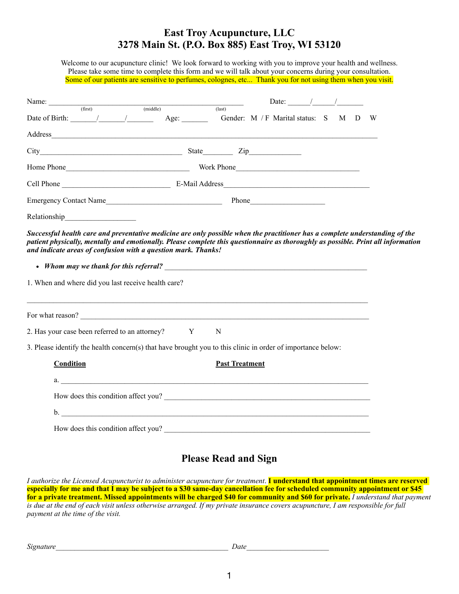## **East Troy Acupuncture, LLC 3278 Main St. (P.O. Box 885) East Troy, WI 53120**

Welcome to our acupuncture clinic! We look forward to working with you to improve your health and wellness. Please take some time to complete this form and we will talk about your concerns during your consultation. Some of our patients are sensitive to perfumes, colognes, etc... Thank you for not using them when you visit.

| Name: (first) (middle) (1                                                                                                                                                                                                                                                                           |                                                                                         | Date: $/$ / |  |     |
|-----------------------------------------------------------------------------------------------------------------------------------------------------------------------------------------------------------------------------------------------------------------------------------------------------|-----------------------------------------------------------------------------------------|-------------|--|-----|
|                                                                                                                                                                                                                                                                                                     | $\overline{\text{(last)}}$                                                              |             |  | - W |
|                                                                                                                                                                                                                                                                                                     |                                                                                         |             |  |     |
| City Zip                                                                                                                                                                                                                                                                                            |                                                                                         |             |  |     |
|                                                                                                                                                                                                                                                                                                     |                                                                                         |             |  |     |
|                                                                                                                                                                                                                                                                                                     |                                                                                         |             |  |     |
|                                                                                                                                                                                                                                                                                                     |                                                                                         |             |  |     |
| Relationship                                                                                                                                                                                                                                                                                        |                                                                                         |             |  |     |
| patient physically, mentally and emotionally. Please complete this questionnaire as thoroughly as possible. Print all information<br>and indicate areas of confusion with a question mark. Thanks!<br>• Whom may we thank for this referral?<br>1. When and where did you last receive health care? |                                                                                         |             |  |     |
| For what reason?                                                                                                                                                                                                                                                                                    |                                                                                         |             |  |     |
| 2. Has your case been referred to an attorney? Y                                                                                                                                                                                                                                                    | N                                                                                       |             |  |     |
| 3. Please identify the health concern(s) that have brought you to this clinic in order of importance below:                                                                                                                                                                                         |                                                                                         |             |  |     |
| <b>Condition</b>                                                                                                                                                                                                                                                                                    | <b>Past Treatment</b>                                                                   |             |  |     |
| $a.$ $a.$                                                                                                                                                                                                                                                                                           |                                                                                         |             |  |     |
| How does this condition affect you?                                                                                                                                                                                                                                                                 |                                                                                         |             |  |     |
|                                                                                                                                                                                                                                                                                                     |                                                                                         |             |  |     |
| How does this condition affect you?                                                                                                                                                                                                                                                                 |                                                                                         |             |  |     |
|                                                                                                                                                                                                                                                                                                     | $\mathbf{D}$ . $\mathbf{D}$ . $\mathbf{D}$ . $\mathbf{D}$ . $\mathbf{D}$ . $\mathbf{D}$ |             |  |     |

## **Please Read and Sign**

*I authorize the Licensed Acupuncturist to administer acupuncture for treatment*. **I understand that appointment times are reserved especially for me and that I may be subject to a \$30 same-day cancellation fee for scheduled community appointment or \$45 for a private treatment. Missed appointments will be charged \$40 for community and \$60 for private.** *I understand that payment is due at the end of each visit unless otherwise arranged. If my private insurance covers acupuncture, I am responsible for full payment at the time of the visit.* 

| Signature | Date |  |
|-----------|------|--|
|           |      |  |
|           |      |  |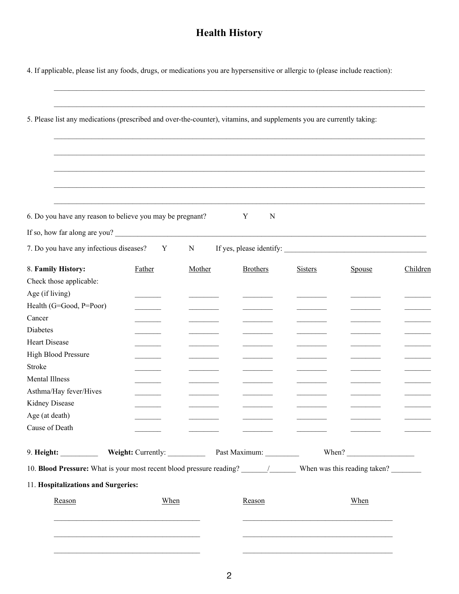## **Health History**

4. If applicable, please list any foods, drugs, or medications you are hypersensitive or allergic to (please include reaction):

| 5. Please list any medications (prescribed and over-the-counter), vitamins, and supplements you are currently taking:                                                                                                                                                                                                                                                                                       |                                            |        |                 |                |                       |          |  |  |
|-------------------------------------------------------------------------------------------------------------------------------------------------------------------------------------------------------------------------------------------------------------------------------------------------------------------------------------------------------------------------------------------------------------|--------------------------------------------|--------|-----------------|----------------|-----------------------|----------|--|--|
|                                                                                                                                                                                                                                                                                                                                                                                                             |                                            |        |                 |                |                       |          |  |  |
|                                                                                                                                                                                                                                                                                                                                                                                                             |                                            |        |                 |                |                       |          |  |  |
|                                                                                                                                                                                                                                                                                                                                                                                                             |                                            |        |                 |                |                       |          |  |  |
|                                                                                                                                                                                                                                                                                                                                                                                                             |                                            |        |                 |                |                       |          |  |  |
|                                                                                                                                                                                                                                                                                                                                                                                                             |                                            |        |                 |                |                       |          |  |  |
| 6. Do you have any reason to believe you may be pregnant?                                                                                                                                                                                                                                                                                                                                                   |                                            |        | Y<br>N          |                |                       |          |  |  |
| If so, how far along are you?                                                                                                                                                                                                                                                                                                                                                                               |                                            |        |                 |                |                       |          |  |  |
| 7. Do you have any infectious diseases?                                                                                                                                                                                                                                                                                                                                                                     | Y                                          | N      |                 |                |                       |          |  |  |
| 8. Family History:                                                                                                                                                                                                                                                                                                                                                                                          | Father                                     | Mother | <b>Brothers</b> | <b>Sisters</b> | Spouse                | Children |  |  |
| Check those applicable:                                                                                                                                                                                                                                                                                                                                                                                     |                                            |        |                 |                |                       |          |  |  |
| Age (if living)                                                                                                                                                                                                                                                                                                                                                                                             |                                            |        |                 |                |                       |          |  |  |
| Health (G=Good, P=Poor)                                                                                                                                                                                                                                                                                                                                                                                     |                                            |        |                 |                |                       |          |  |  |
| Cancer                                                                                                                                                                                                                                                                                                                                                                                                      |                                            |        |                 |                |                       |          |  |  |
| Diabetes                                                                                                                                                                                                                                                                                                                                                                                                    |                                            |        |                 |                |                       |          |  |  |
| Heart Disease                                                                                                                                                                                                                                                                                                                                                                                               |                                            |        |                 |                |                       |          |  |  |
| High Blood Pressure                                                                                                                                                                                                                                                                                                                                                                                         |                                            |        |                 |                |                       |          |  |  |
| <b>Stroke</b>                                                                                                                                                                                                                                                                                                                                                                                               |                                            |        |                 |                |                       |          |  |  |
| <b>Mental Illness</b>                                                                                                                                                                                                                                                                                                                                                                                       |                                            |        |                 |                |                       |          |  |  |
| Asthma/Hay fever/Hives                                                                                                                                                                                                                                                                                                                                                                                      |                                            |        |                 |                |                       |          |  |  |
| Kidney Disease                                                                                                                                                                                                                                                                                                                                                                                              |                                            |        |                 |                |                       |          |  |  |
| Age (at death)                                                                                                                                                                                                                                                                                                                                                                                              |                                            |        |                 |                |                       |          |  |  |
| Cause of Death                                                                                                                                                                                                                                                                                                                                                                                              |                                            |        |                 |                |                       |          |  |  |
| 9. Height: $\frac{1}{\sqrt{1-\frac{1}{2}}\sqrt{1-\frac{1}{2}}\sqrt{1-\frac{1}{2}}\sqrt{1-\frac{1}{2}}\sqrt{1-\frac{1}{2}}\sqrt{1-\frac{1}{2}}\sqrt{1-\frac{1}{2}}\sqrt{1-\frac{1}{2}}\sqrt{1-\frac{1}{2}}\sqrt{1-\frac{1}{2}}\sqrt{1-\frac{1}{2}}\sqrt{1-\frac{1}{2}}\sqrt{1-\frac{1}{2}}\sqrt{1-\frac{1}{2}}\sqrt{1-\frac{1}{2}}\sqrt{1-\frac{1}{2}}\sqrt{1-\frac{1}{2}}\sqrt{1-\frac{1}{2}}\sqrt{1-\frac$ | Weight: Currently: Past Maximum: _________ |        |                 |                | When? $\qquad \qquad$ |          |  |  |
|                                                                                                                                                                                                                                                                                                                                                                                                             |                                            |        |                 |                |                       |          |  |  |
| 11. Hospitalizations and Surgeries:                                                                                                                                                                                                                                                                                                                                                                         |                                            |        |                 |                |                       |          |  |  |
| Reason                                                                                                                                                                                                                                                                                                                                                                                                      | When                                       |        | Reason          |                | When                  |          |  |  |
|                                                                                                                                                                                                                                                                                                                                                                                                             |                                            |        |                 |                |                       |          |  |  |
|                                                                                                                                                                                                                                                                                                                                                                                                             |                                            |        |                 |                |                       |          |  |  |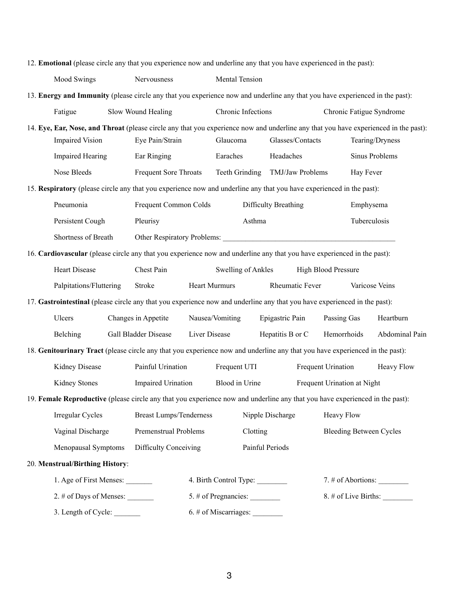|                                                                                                                                     |                                                       |                       | 12. Emotional (please circle any that you experience now and underline any that you have experienced in the past):           |                |                      |                      |                  |                                |                             |                          |  |
|-------------------------------------------------------------------------------------------------------------------------------------|-------------------------------------------------------|-----------------------|------------------------------------------------------------------------------------------------------------------------------|----------------|----------------------|----------------------|------------------|--------------------------------|-----------------------------|--------------------------|--|
|                                                                                                                                     | Mood Swings<br>Nervousness                            |                       |                                                                                                                              |                | Mental Tension       |                      |                  |                                |                             |                          |  |
| 13. Energy and Immunity (please circle any that you experience now and underline any that you have experienced in the past):        |                                                       |                       |                                                                                                                              |                |                      |                      |                  |                                |                             |                          |  |
|                                                                                                                                     | Fatigue                                               |                       | Slow Wound Healing                                                                                                           |                | Chronic Infections   |                      |                  |                                |                             | Chronic Fatigue Syndrome |  |
| 14. Eye, Ear, Nose, and Throat (please circle any that you experience now and underline any that you have experienced in the past): |                                                       |                       |                                                                                                                              |                |                      |                      |                  |                                |                             |                          |  |
|                                                                                                                                     | <b>Impaired Vision</b>                                |                       | Eye Pain/Strain                                                                                                              |                | Glaucoma             |                      |                  | Glasses/Contacts               |                             | Tearing/Dryness          |  |
|                                                                                                                                     | <b>Impaired Hearing</b>                               |                       | Ear Ringing                                                                                                                  |                | Earaches             |                      | Headaches        |                                |                             | <b>Sinus Problems</b>    |  |
|                                                                                                                                     | Nose Bleeds                                           |                       | Frequent Sore Throats                                                                                                        | Teeth Grinding |                      | TMJ/Jaw Problems     |                  | Hay Fever                      |                             |                          |  |
| 15. Respiratory (please circle any that you experience now and underline any that you have experienced in the past):                |                                                       |                       |                                                                                                                              |                |                      |                      |                  |                                |                             |                          |  |
|                                                                                                                                     | Pneumonia                                             | Frequent Common Colds |                                                                                                                              |                |                      | Difficulty Breathing |                  | Emphysema                      |                             |                          |  |
|                                                                                                                                     | Persistent Cough<br>Pleurisy                          |                       |                                                                                                                              |                |                      | Asthma               |                  |                                | Tuberculosis                |                          |  |
|                                                                                                                                     | Shortness of Breath                                   |                       | Other Respiratory Problems:                                                                                                  |                |                      |                      |                  |                                |                             |                          |  |
| 16. Cardiovascular (please circle any that you experience now and underline any that you have experienced in the past):             |                                                       |                       |                                                                                                                              |                |                      |                      |                  |                                |                             |                          |  |
|                                                                                                                                     | Heart Disease<br>Chest Pain<br>Swelling of Ankles     |                       |                                                                                                                              |                |                      |                      |                  | <b>High Blood Pressure</b>     |                             |                          |  |
|                                                                                                                                     | Palpitations/Fluttering                               |                       | Stroke                                                                                                                       |                | <b>Heart Murmurs</b> |                      | Rheumatic Fever  |                                | Varicose Veins              |                          |  |
|                                                                                                                                     |                                                       |                       | 17. Gastrointestinal (please circle any that you experience now and underline any that you have experienced in the past):    |                |                      |                      |                  |                                |                             |                          |  |
|                                                                                                                                     | Ulcers                                                |                       | Changes in Appetite                                                                                                          |                | Nausea/Vomiting      |                      | Epigastric Pain  | Passing Gas                    |                             | Heartburn                |  |
|                                                                                                                                     | Gall Bladder Disease<br>Belching                      |                       |                                                                                                                              | Liver Disease  |                      |                      | Hepatitis B or C | Hemorrhoids                    |                             | Abdominal Pain           |  |
|                                                                                                                                     |                                                       |                       | 18. Genitourinary Tract (please circle any that you experience now and underline any that you have experienced in the past): |                |                      |                      |                  |                                |                             |                          |  |
|                                                                                                                                     | Kidney Disease                                        |                       | Painful Urination                                                                                                            |                | Frequent UTI         |                      |                  | Frequent Urination             |                             | <b>Heavy Flow</b>        |  |
|                                                                                                                                     | Kidney Stones                                         |                       | Impaired Urination                                                                                                           |                | Blood in Urine       |                      |                  |                                | Frequent Urination at Night |                          |  |
|                                                                                                                                     |                                                       |                       | 19. Female Reproductive (please circle any that you experience now and underline any that you have experienced in the past): |                |                      |                      |                  |                                |                             |                          |  |
|                                                                                                                                     | Irregular Cycles                                      |                       | <b>Breast Lumps/Tenderness</b>                                                                                               |                | Nipple Discharge     |                      |                  | Heavy Flow                     |                             |                          |  |
|                                                                                                                                     | Vaginal Discharge                                     |                       | Premenstrual Problems                                                                                                        |                | Clotting             |                      |                  | <b>Bleeding Between Cycles</b> |                             |                          |  |
|                                                                                                                                     | Menopausal Symptoms                                   |                       | Difficulty Conceiving                                                                                                        |                | Painful Periods      |                      |                  |                                |                             |                          |  |
|                                                                                                                                     | 20. Menstrual/Birthing History:                       |                       |                                                                                                                              |                |                      |                      |                  |                                |                             |                          |  |
|                                                                                                                                     | 1. Age of First Menses: _______                       |                       | 4. Birth Control Type:                                                                                                       |                |                      |                      |                  |                                |                             |                          |  |
|                                                                                                                                     |                                                       |                       |                                                                                                                              |                | 5. # of Pregnancies: |                      |                  |                                | 8. # of Live Births:        |                          |  |
|                                                                                                                                     | 3. Length of Cycle:<br>$6.$ # of Miscarriages: $\_\_$ |                       |                                                                                                                              |                |                      |                      |                  |                                |                             |                          |  |